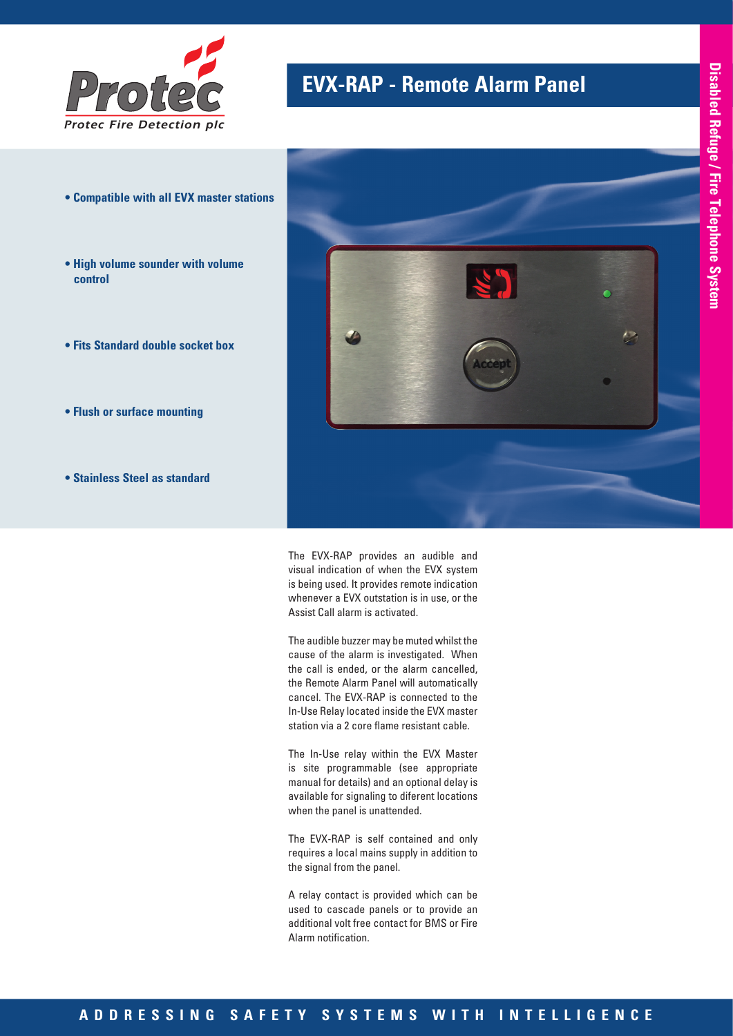

# **EVX-RAP - Remote Alarm Panel**

- **Compatible with all EVX master stations**
- **High volume sounder with volume control**
- **Fits Standard double socket box**
- **Flush or surface mounting**
- **Stainless Steel as standard**



The EVX-RAP provides an audible and visual indication of when the EVX system is being used. It provides remote indication whenever a EVX outstation is in use, or the Assist Call alarm is activated.

The audible buzzer may be muted whilst the cause of the alarm is investigated. When the call is ended, or the alarm cancelled, the Remote Alarm Panel will automatically cancel. The EVX-RAP is connected to the In-Use Relay located inside the EVX master station via a 2 core flame resistant cable.

The In-Use relay within the EVX Master is site programmable (see appropriate manual for details) and an optional delay is available for signaling to diferent locations when the panel is unattended.

The EVX-RAP is self contained and only requires a local mains supply in addition to the signal from the panel.

A relay contact is provided which can be used to cascade panels or to provide an additional volt free contact for BMS or Fire Alarm notification.